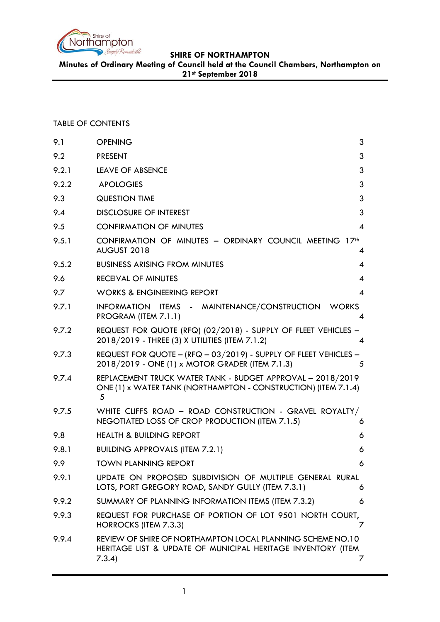

**Minutes of Ordinary Meeting of Council held at the Council Chambers, Northampton on 21st September 2018**

## TABLE OF CONTENTS

| 9.1   | <b>OPENING</b><br>3                                                                                                                       |
|-------|-------------------------------------------------------------------------------------------------------------------------------------------|
| 9.2   | 3<br><b>PRESENT</b>                                                                                                                       |
| 9.2.1 | 3<br><b>LEAVE OF ABSENCE</b>                                                                                                              |
| 9.2.2 | 3<br><b>APOLOGIES</b>                                                                                                                     |
| 9.3   | 3<br><b>QUESTION TIME</b>                                                                                                                 |
| 9.4   | 3<br><b>DISCLOSURE OF INTEREST</b>                                                                                                        |
| 9.5   | <b>CONFIRMATION OF MINUTES</b><br>$\overline{4}$                                                                                          |
| 9.5.1 | CONFIRMATION OF MINUTES - ORDINARY COUNCIL MEETING 17th<br>AUGUST 2018<br>4                                                               |
| 9.5.2 | <b>BUSINESS ARISING FROM MINUTES</b><br>$\overline{4}$                                                                                    |
| 9.6   | <b>RECEIVAL OF MINUTES</b><br>$\overline{4}$                                                                                              |
| 9.7   | <b>WORKS &amp; ENGINEERING REPORT</b><br>$\overline{\mathcal{A}}$                                                                         |
| 9.7.1 | INFORMATION ITEMS - MAINTENANCE/CONSTRUCTION<br><b>WORKS</b><br>PROGRAM (ITEM 7.1.1)<br>4                                                 |
| 9.7.2 | REQUEST FOR QUOTE (RFQ) (02/2018) - SUPPLY OF FLEET VEHICLES -<br>2018/2019 - THREE (3) X UTILITIES (ITEM 7.1.2)<br>4                     |
| 9.7.3 | REQUEST FOR QUOTE - (RFQ - 03/2019) - SUPPLY OF FLEET VEHICLES -<br>2018/2019 - ONE (1) x MOTOR GRADER (ITEM 7.1.3)<br>5                  |
| 9.7.4 | REPLACEMENT TRUCK WATER TANK - BUDGET APPROVAL - 2018/2019<br>ONE (1) x WATER TANK (NORTHAMPTON - CONSTRUCTION) (ITEM 7.1.4)<br>5         |
| 9.7.5 | WHITE CLIFFS ROAD - ROAD CONSTRUCTION - GRAVEL ROYALTY/<br>NEGOTIATED LOSS OF CROP PRODUCTION (ITEM 7.1.5)<br>6                           |
| 9.8   | <b>HEALTH &amp; BUILDING REPORT</b><br>6                                                                                                  |
| 9.8.1 | <b>BUILDING APPROVALS (ITEM 7.2.1)</b><br>6                                                                                               |
| 9.9   | <b>TOWN PLANNING REPORT</b><br>6                                                                                                          |
| 9.9.1 | UPDATE ON PROPOSED SUBDIVISION OF MULTIPLE GENERAL RURAL<br>LOTS, PORT GREGORY ROAD, SANDY GULLY (ITEM 7.3.1)<br>6                        |
| 9.9.2 | SUMMARY OF PLANNING INFORMATION ITEMS (ITEM 7.3.2)<br>6                                                                                   |
| 9.9.3 | REQUEST FOR PURCHASE OF PORTION OF LOT 9501 NORTH COURT,<br>HORROCKS (ITEM 7.3.3)<br>Ζ                                                    |
| 9.9.4 | REVIEW OF SHIRE OF NORTHAMPTON LOCAL PLANNING SCHEME NO.10<br>HERITAGE LIST & UPDATE OF MUNICIPAL HERITAGE INVENTORY (ITEM<br>7.3.4)<br>Ζ |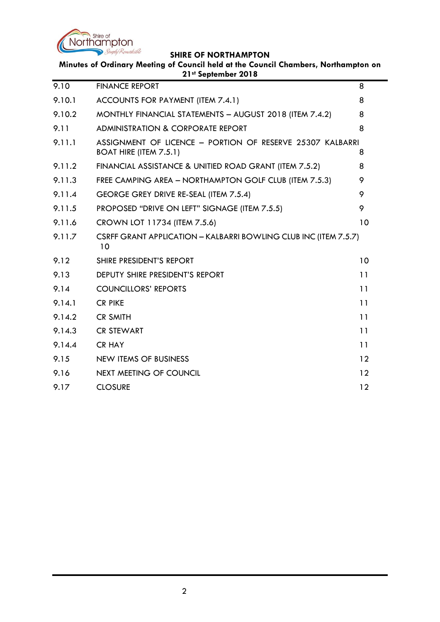

**Minutes of Ordinary Meeting of Council held at the Council Chambers, Northampton on 21st September 2018**

| 9.10   | <b>FINANCE REPORT</b>                                                                      | 8               |
|--------|--------------------------------------------------------------------------------------------|-----------------|
| 9.10.1 | ACCOUNTS FOR PAYMENT (ITEM 7.4.1)                                                          | 8               |
| 9.10.2 | MONTHLY FINANCIAL STATEMENTS - AUGUST 2018 (ITEM 7.4.2)                                    | 8               |
| 9.11   | <b>ADMINISTRATION &amp; CORPORATE REPORT</b>                                               | 8               |
| 9.11.1 | ASSIGNMENT OF LICENCE - PORTION OF RESERVE 25307 KALBARRI<br><b>BOAT HIRE (ITEM 7.5.1)</b> | 8               |
| 9.11.2 | FINANCIAL ASSISTANCE & UNITIED ROAD GRANT (ITEM 7.5.2)                                     | 8               |
| 9.11.3 | FREE CAMPING AREA - NORTHAMPTON GOLF CLUB (ITEM 7.5.3)                                     | 9               |
| 9.11.4 | GEORGE GREY DRIVE RE-SEAL (ITEM 7.5.4)                                                     | 9               |
| 9.11.5 | PROPOSED "DRIVE ON LEFT" SIGNAGE (ITEM 7.5.5)                                              | 9               |
| 9.11.6 | CROWN LOT 11734 (ITEM 7.5.6)                                                               | 10              |
| 9.11.7 | CSRFF GRANT APPLICATION - KALBARRI BOWLING CLUB INC (ITEM 7.5.7)<br>10                     |                 |
| 9.12   | SHIRE PRESIDENT'S REPORT                                                                   | 10              |
| 9.13   | <b>DEPUTY SHIRE PRESIDENT'S REPORT</b>                                                     | 11              |
| 9.14   | <b>COUNCILLORS' REPORTS</b>                                                                | 11              |
| 9.14.1 | <b>CR PIKE</b>                                                                             | 11              |
| 9.14.2 | <b>CR SMITH</b>                                                                            | 11              |
| 9.14.3 | <b>CR STEWART</b>                                                                          | 11              |
| 9.14.4 | <b>CR HAY</b>                                                                              | 11              |
| 9.15   | NEW ITEMS OF BUSINESS                                                                      | $12 \ \mathrm{$ |
| 9.16   | <b>NEXT MEETING OF COUNCIL</b>                                                             | 12              |
| 9.17   | <b>CLOSURE</b>                                                                             | 12              |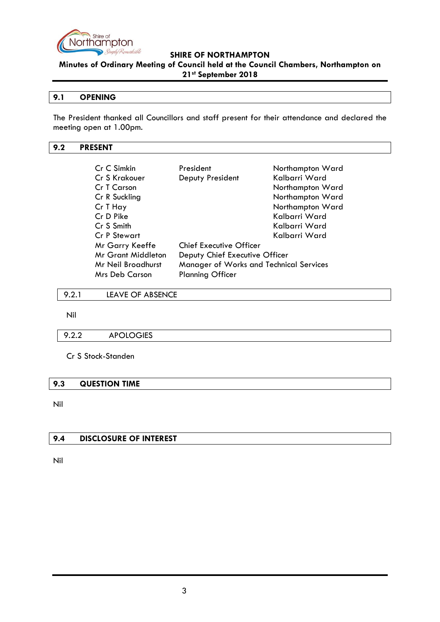

**Minutes of Ordinary Meeting of Council held at the Council Chambers, Northampton on 21st September 2018**

#### <span id="page-2-0"></span>**9.1 OPENING**

The President thanked all Councillors and staff present for their attendance and declared the meeting open at 1.00pm.

### <span id="page-2-1"></span>**9.2 PRESENT**

| Cr C Simkin           | President                               | Northampton Ward |
|-----------------------|-----------------------------------------|------------------|
| Cr S Krakouer         | Deputy President                        | Kalbarri Ward    |
| Cr T Carson           |                                         | Northampton Ward |
| Cr R Suckling         |                                         | Northampton Ward |
| Cr T Hay              |                                         | Northampton Ward |
| Cr D Pike             |                                         | Kalbarri Ward    |
| Cr S Smith            |                                         | Kalbarri Ward    |
| Cr P Stewart          |                                         | Kalbarri Ward    |
| Mr Garry Keeffe       | <b>Chief Executive Officer</b>          |                  |
| Mr Grant Middleton    | Deputy Chief Executive Officer          |                  |
| Mr Neil Broadhurst    | Manager of Works and Technical Services |                  |
| <b>Mrs Deb Carson</b> | <b>Planning Officer</b>                 |                  |

<span id="page-2-2"></span>9.2.1 LEAVE OF ABSENCE

Nil

#### <span id="page-2-3"></span>9.2.2 APOLOGIES

Cr S Stock-Standen

#### <span id="page-2-4"></span>**9.3 QUESTION TIME**

Nil

# <span id="page-2-5"></span>**9.4 DISCLOSURE OF INTEREST**

Nil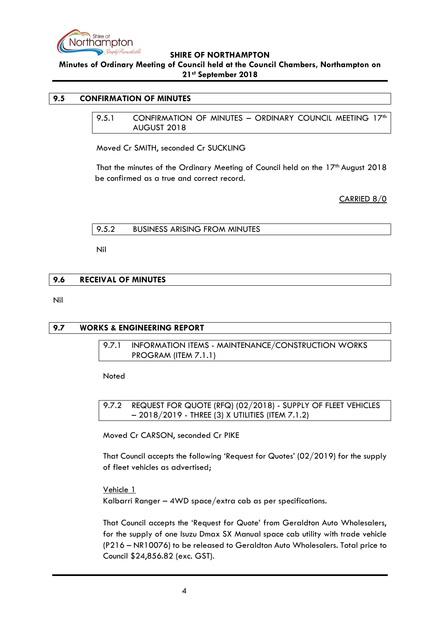

**Minutes of Ordinary Meeting of Council held at the Council Chambers, Northampton on 21st September 2018**

#### <span id="page-3-1"></span><span id="page-3-0"></span>**9.5 CONFIRMATION OF MINUTES**

9.5.1 CONFIRMATION OF MINUTES - ORDINARY COUNCIL MEETING 17<sup>th</sup> AUGUST 2018

Moved Cr SMITH, seconded Cr SUCKLING

That the minutes of the Ordinary Meeting of Council held on the 17<sup>th</sup> August 2018 be confirmed as a true and correct record.

CARRIED 8/0

<span id="page-3-2"></span>

| <b>BUSINESS ARISING FROM MINUTES</b><br>9.5.2 |  |
|-----------------------------------------------|--|
|-----------------------------------------------|--|

Nil

# <span id="page-3-3"></span>**9.6 RECEIVAL OF MINUTES**

Nil

# <span id="page-3-5"></span><span id="page-3-4"></span>**9.7 WORKS & ENGINEERING REPORT**

9.7.1 INFORMATION ITEMS - MAINTENANCE/CONSTRUCTION WORKS PROGRAM (ITEM 7.1.1)

Noted

<span id="page-3-6"></span>9.7.2 REQUEST FOR QUOTE (RFQ) (02/2018) - SUPPLY OF FLEET VEHICLES – 2018/2019 - THREE (3) X UTILITIES (ITEM 7.1.2)

Moved Cr CARSON, seconded Cr PIKE

That Council accepts the following 'Request for Quotes' (02/2019) for the supply of fleet vehicles as advertised;

Vehicle 1 Kalbarri Ranger – 4WD space/extra cab as per specifications.

That Council accepts the 'Request for Quote' from Geraldton Auto Wholesalers, for the supply of one Isuzu Dmax SX Manual space cab utility with trade vehicle (P216 – NR10076) to be released to Geraldton Auto Wholesalers. Total price to Council \$24,856.82 (exc. GST).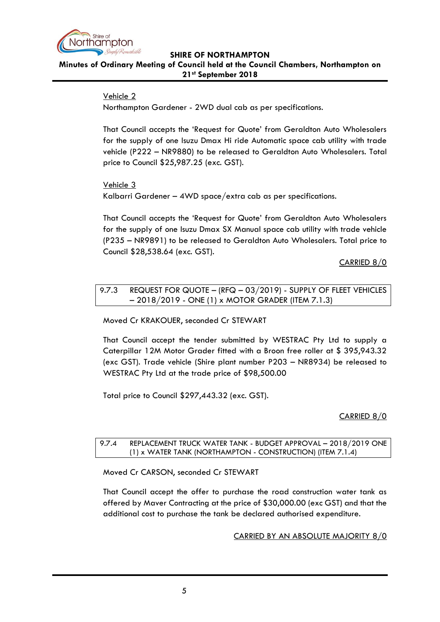

# **Minutes of Ordinary Meeting of Council held at the Council Chambers, Northampton on 21st September 2018**

# Vehicle 2

Northampton Gardener - 2WD dual cab as per specifications.

That Council accepts the 'Request for Quote' from Geraldton Auto Wholesalers for the supply of one Isuzu Dmax Hi ride Automatic space cab utility with trade vehicle (P222 – NR9880) to be released to Geraldton Auto Wholesalers. Total price to Council \$25,987.25 (exc. GST).

Vehicle 3 Kalbarri Gardener – 4WD space/extra cab as per specifications.

That Council accepts the 'Request for Quote' from Geraldton Auto Wholesalers for the supply of one Isuzu Dmax SX Manual space cab utility with trade vehicle (P235 – NR9891) to be released to Geraldton Auto Wholesalers. Total price to Council \$28,538.64 (exc. GST).

CARRIED 8/0

<span id="page-4-0"></span>9.7.3 REQUEST FOR QUOTE - (RFQ - 03/2019) - SUPPLY OF FLEET VEHICLES – 2018/2019 - ONE (1) x MOTOR GRADER (ITEM 7.1.3)

Moved Cr KRAKOUER, seconded Cr STEWART

That Council accept the tender submitted by WESTRAC Pty Ltd to supply a Caterpillar 12M Motor Grader fitted with a Broon free roller at \$ 395,943.32 (exc GST). Trade vehicle (Shire plant number P203 – NR8934) be released to WESTRAC Pty Ltd at the trade price of \$98,500.00

Total price to Council \$297,443.32 (exc. GST).

# CARRIED 8/0

# <span id="page-4-1"></span>9.7.4 REPLACEMENT TRUCK WATER TANK - BUDGET APPROVAL – 2018/2019 ONE (1) x WATER TANK (NORTHAMPTON - CONSTRUCTION) (ITEM 7.1.4)

Moved Cr CARSON, seconded Cr STEWART

That Council accept the offer to purchase the road construction water tank as offered by Maver Contracting at the price of \$30,000.00 (exc GST) and that the additional cost to purchase the tank be declared authorised expenditure.

CARRIED BY AN ABSOLUTE MAJORITY 8/0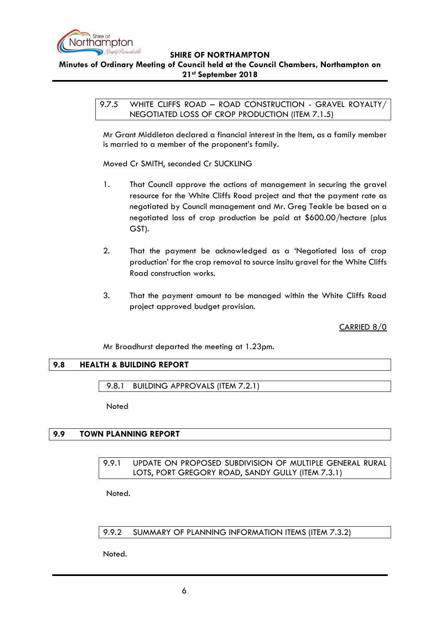

# <span id="page-5-0"></span>**Minutes of Ordinary Meeting of Council held at the Council Chambers, Northampton on 21st September 2018**

9.7.5 WHITE CLIFFS ROAD - ROAD CONSTRUCTION - GRAVEL ROYALTY/ NEGOTIATED LOSS OF CROP PRODUCTION (ITEM 7.1.5)

Mr Grant Middleton declared a financial interest in the Item, as a family member is married to a member of the proponent's family.

Moved Cr SMITH, seconded Cr SUCKLING

- 1. That Council approve the actions of management in securing the gravel resource for the White Cliffs Road project and that the payment rate as negotiated by Council management and Mr. Greg Teakle be based on a negotiated loss of crop production be paid at \$600.00/hectare (plus GST).
- 2. That the payment be acknowledged as a 'Negotiated loss of crop production' for the crop removal to source insitu gravel for the White Cliffs Road construction works.
- 3. That the payment amount to be managed within the White Cliffs Road project approved budget provision.

CARRIED 8/0

Mr Broadhurst departed the meeting at 1.23pm.

# <span id="page-5-1"></span>**9.8 HEALTH & BUILDING REPORT**

<span id="page-5-2"></span>9.8.1 BUILDING APPROVALS (ITEM 7.2.1)

**Noted** 

## <span id="page-5-4"></span><span id="page-5-3"></span>**9.9 TOWN PLANNING REPORT**

# 9.9.1 UPDATE ON PROPOSED SUBDIVISION OF MULTIPLE GENERAL RURAL LOTS, PORT GREGORY ROAD, SANDY GULLY (ITEM 7.3.1)

Noted.

<span id="page-5-5"></span>9.9.2 SUMMARY OF PLANNING INFORMATION ITEMS (ITEM 7.3.2)

Noted.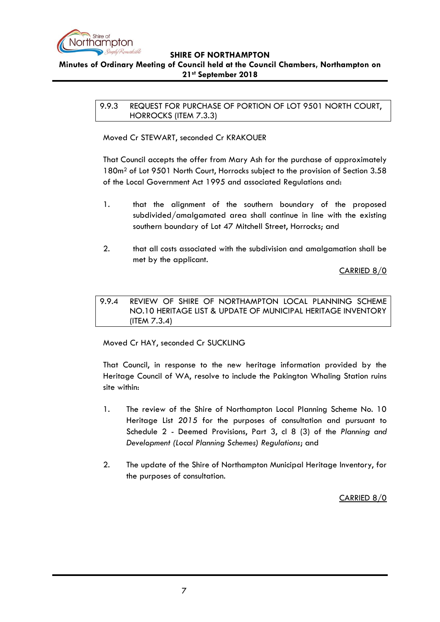

# <span id="page-6-0"></span>**Minutes of Ordinary Meeting of Council held at the Council Chambers, Northampton on 21st September 2018**

9.9.3 REQUEST FOR PURCHASE OF PORTION OF LOT 9501 NORTH COURT, HORROCKS (ITEM 7.3.3)

Moved Cr STEWART, seconded Cr KRAKOUER

That Council accepts the offer from Mary Ash for the purchase of approximately 180m<sup>2</sup> of Lot 9501 North Court, Horrocks subject to the provision of Section 3.58 of the Local Government Act 1995 and associated Regulations and:

- 1. that the alignment of the southern boundary of the proposed subdivided/amalgamated area shall continue in line with the existing southern boundary of Lot 47 Mitchell Street, Horrocks; and
- 2. that all costs associated with the subdivision and amalgamation shall be met by the applicant.

CARRIED 8/0

<span id="page-6-1"></span>9.9.4 REVIEW OF SHIRE OF NORTHAMPTON LOCAL PLANNING SCHEME NO.10 HERITAGE LIST & UPDATE OF MUNICIPAL HERITAGE INVENTORY (ITEM 7.3.4)

Moved Cr HAY, seconded Cr SUCKLING

That Council, in response to the new heritage information provided by the Heritage Council of WA, resolve to include the Pakington Whaling Station ruins site within:

- 1. The review of the Shire of Northampton Local Planning Scheme No. 10 Heritage List *2015* for the purposes of consultation and pursuant to Schedule 2 - Deemed Provisions, Part 3, cl 8 (3) of the *Planning and Development (Local Planning Schemes) Regulations*; and
- 2. The update of the Shire of Northampton Municipal Heritage Inventory, for the purposes of consultation.

CARRIED 8/0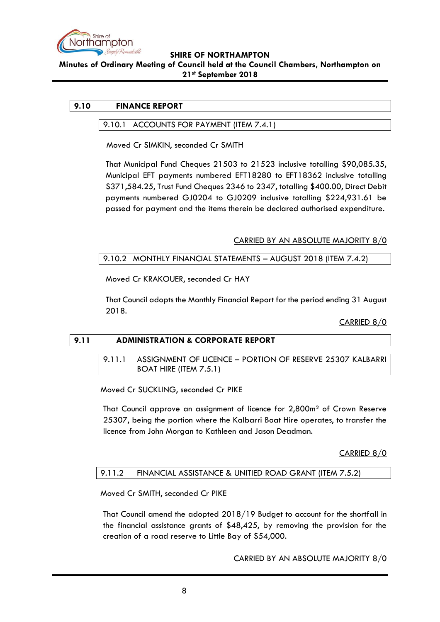

#### **Minutes of Ordinary Meeting of Council held at the Council Chambers, Northampton on 21st September 2018**

# <span id="page-7-1"></span><span id="page-7-0"></span>**9.10 FINANCE REPORT**

#### 9.10.1 ACCOUNTS FOR PAYMENT (ITEM 7.4.1)

Moved Cr SIMKIN, seconded Cr SMITH

That Municipal Fund Cheques 21503 to 21523 inclusive totalling \$90,085.35, Municipal EFT payments numbered EFT18280 to EFT18362 inclusive totalling \$371,584.25, Trust Fund Cheques 2346 to 2347, totalling \$400.00, Direct Debit payments numbered GJ0204 to GJ0209 inclusive totalling \$224,931.61 be passed for payment and the items therein be declared authorised expenditure.

### CARRIED BY AN ABSOLUTE MAJORITY 8/0

### <span id="page-7-2"></span>9.10.2 MONTHLY FINANCIAL STATEMENTS – AUGUST 2018 (ITEM 7.4.2)

Moved Cr KRAKOUER, seconded Cr HAY

That Council adopts the Monthly Financial Report for the period ending 31 August 2018.

CARRIED 8/0

# <span id="page-7-4"></span><span id="page-7-3"></span>**9.11 ADMINISTRATION & CORPORATE REPORT**

# 9.11.1 ASSIGNMENT OF LICENCE – PORTION OF RESERVE 25307 KALBARRI BOAT HIRE (ITEM 7.5.1)

Moved Cr SUCKLING, seconded Cr PIKE

That Council approve an assignment of licence for 2,800m² of Crown Reserve 25307, being the portion where the Kalbarri Boat Hire operates, to transfer the licence from John Morgan to Kathleen and Jason Deadman.

CARRIED 8/0

# <span id="page-7-5"></span>9.11.2 FINANCIAL ASSISTANCE & UNITIED ROAD GRANT (ITEM 7.5.2)

Moved Cr SMITH, seconded Cr PIKE

That Council amend the adopted 2018/19 Budget to account for the shortfall in the financial assistance grants of \$48,425, by removing the provision for the creation of a road reserve to Little Bay of \$54,000.

CARRIED BY AN ABSOLUTE MAJORITY 8/0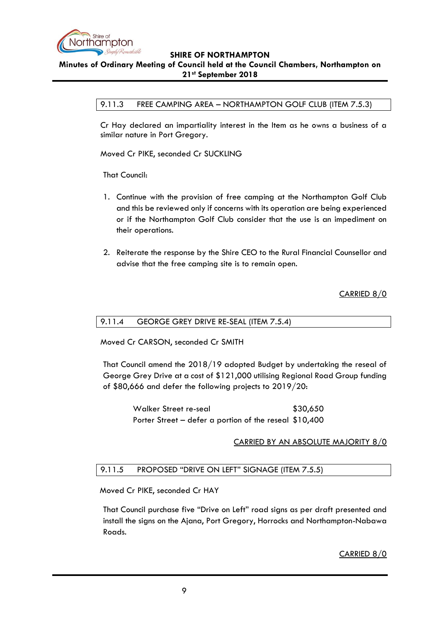

## <span id="page-8-0"></span>**Minutes of Ordinary Meeting of Council held at the Council Chambers, Northampton on 21st September 2018**

#### 9.11.3 FREE CAMPING AREA – NORTHAMPTON GOLF CLUB (ITEM 7.5.3)

Cr Hay declared an impartiality interest in the Item as he owns a business of a similar nature in Port Gregory.

Moved Cr PIKE, seconded Cr SUCKLING

That Council:

- 1. Continue with the provision of free camping at the Northampton Golf Club and this be reviewed only if concerns with its operation are being experienced or if the Northampton Golf Club consider that the use is an impediment on their operations.
- 2. Reiterate the response by the Shire CEO to the Rural Financial Counsellor and advise that the free camping site is to remain open.

CARRIED 8/0

#### <span id="page-8-1"></span>9.11.4 GEORGE GREY DRIVE RE-SEAL (ITEM 7.5.4)

Moved Cr CARSON, seconded Cr SMITH

That Council amend the 2018/19 adopted Budget by undertaking the reseal of George Grey Drive at a cost of \$121,000 utilising Regional Road Group funding of \$80,666 and defer the following projects to 2019/20:

> Walker Street re-seal \$30,650 Porter Street – defer a portion of the reseal \$10,400

#### CARRIED BY AN ABSOLUTE MAJORITY 8/0

#### <span id="page-8-2"></span>9.11.5 PROPOSED "DRIVE ON LEFT" SIGNAGE (ITEM 7.5.5)

Moved Cr PIKE, seconded Cr HAY

That Council purchase five "Drive on Left" road signs as per draft presented and install the signs on the Ajana, Port Gregory, Horrocks and Northampton-Nabawa Roads.

CARRIED 8/0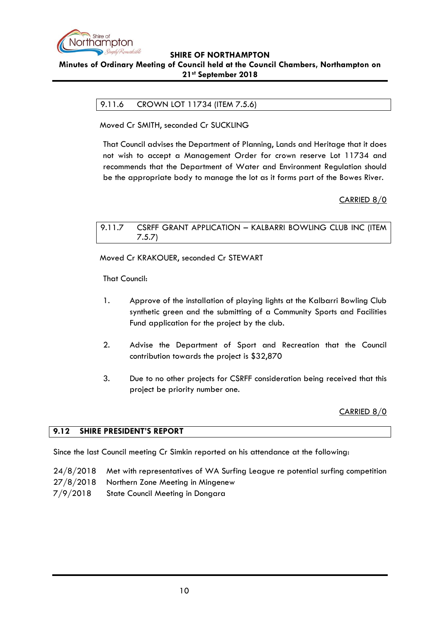

# <span id="page-9-0"></span>**Minutes of Ordinary Meeting of Council held at the Council Chambers, Northampton on 21st September 2018**

# 9.11.6 CROWN LOT 11734 (ITEM 7.5.6)

Moved Cr SMITH, seconded Cr SUCKLING

That Council advises the Department of Planning, Lands and Heritage that it does not wish to accept a Management Order for crown reserve Lot 11734 and recommends that the Department of Water and Environment Regulation should be the appropriate body to manage the lot as it forms part of the Bowes River.

# CARRIED 8/0

<span id="page-9-1"></span>9.11.7 CSRFF GRANT APPLICATION – KALBARRI BOWLING CLUB INC (ITEM 7.5.7)

Moved Cr KRAKOUER, seconded Cr STEWART

That Council:

- 1. Approve of the installation of playing lights at the Kalbarri Bowling Club synthetic green and the submitting of a Community Sports and Facilities Fund application for the project by the club.
- 2. Advise the Department of Sport and Recreation that the Council contribution towards the project is \$32,870
- 3. Due to no other projects for CSRFF consideration being received that this project be priority number one.

CARRIED 8/0

#### <span id="page-9-2"></span>**9.12 SHIRE PRESIDENT'S REPORT**

Since the last Council meeting Cr Simkin reported on his attendance at the following:

- 24/8/2018 Met with representatives of WA Surfing League re potential surfing competition
- 27/8/2018 Northern Zone Meeting in Mingenew
- 7/9/2018 State Council Meeting in Dongara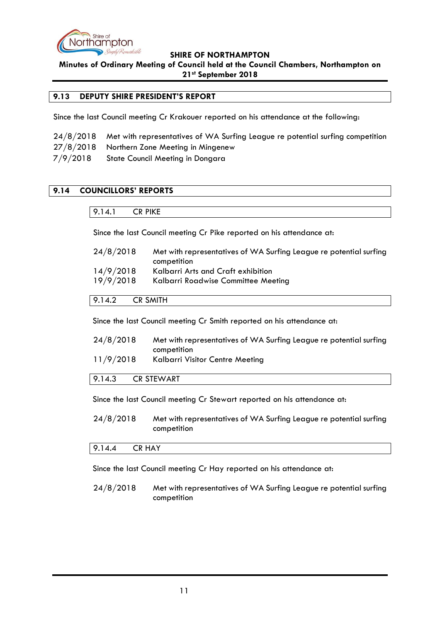

**Minutes of Ordinary Meeting of Council held at the Council Chambers, Northampton on 21st September 2018**

## <span id="page-10-0"></span>**9.13 DEPUTY SHIRE PRESIDENT'S REPORT**

Since the last Council meeting Cr Krakouer reported on his attendance at the following:

|          | 24/8/2018 Met with representatives of WA Surfing League re potential surfing competition |
|----------|------------------------------------------------------------------------------------------|
|          | 27/8/2018 Northern Zone Meeting in Mingenew                                              |
| 7/9/2018 | State Council Meeting in Dongara                                                         |

# <span id="page-10-2"></span><span id="page-10-1"></span>**9.14 COUNCILLORS' REPORTS**

### 9.14.1 CR PIKE

Since the last Council meeting Cr Pike reported on his attendance at:

| 24/8/2018 | Met with representatives of WA Surfing League re potential surfing |
|-----------|--------------------------------------------------------------------|
|           | competition                                                        |
| 14/9/2018 | Kalbarri Arts and Craft exhibition                                 |
| 19/9/2018 | Kalbarri Roadwise Committee Meeting                                |
|           |                                                                    |

<span id="page-10-3"></span>9.14.2 CR SMITH

Since the last Council meeting Cr Smith reported on his attendance at:

| 24/8/2018 | Met with representatives of WA Surfing League re potential surfing |
|-----------|--------------------------------------------------------------------|
|           | competition                                                        |
| 11/9/2018 | Kalbarri Visitor Centre Meeting                                    |

#### <span id="page-10-4"></span>9.14.3 CR STEWART

Since the last Council meeting Cr Stewart reported on his attendance at:

24/8/2018 Met with representatives of WA Surfing League re potential surfing competition

#### <span id="page-10-5"></span>9.14.4 CR HAY

Since the last Council meeting Cr Hay reported on his attendance at:

24/8/2018 Met with representatives of WA Surfing League re potential surfing competition